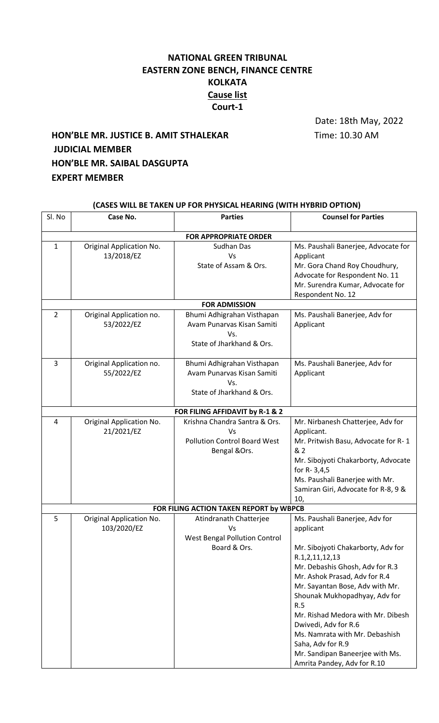## **NATIONAL GREEN TRIBUNAL EASTERN ZONE BENCH, FINANCE CENTRE KOLKATA Cause list Court-1**

Date: 18th May, 2022

## **HON'BLE MR. JUSTICE B. AMIT STHALEKAR** Time: 10.30 AM **JUDICIAL MEMBER HON'BLE MR. SAIBAL DASGUPTA EXPERT MEMBER**

| (CASES WILL BE TAKEN UP FOR PHYSICAL HEARING (WITH HYBRID OPTION) |                                                |                                                                                              |                                                                                                                                                                                                                                                                                                                                                                                                                                          |  |  |
|-------------------------------------------------------------------|------------------------------------------------|----------------------------------------------------------------------------------------------|------------------------------------------------------------------------------------------------------------------------------------------------------------------------------------------------------------------------------------------------------------------------------------------------------------------------------------------------------------------------------------------------------------------------------------------|--|--|
| Sl. No                                                            | Case No.                                       | <b>Parties</b>                                                                               | <b>Counsel for Parties</b>                                                                                                                                                                                                                                                                                                                                                                                                               |  |  |
|                                                                   |                                                | <b>FOR APPROPRIATE ORDER</b>                                                                 |                                                                                                                                                                                                                                                                                                                                                                                                                                          |  |  |
| $\mathbf{1}$                                                      | Original Application No.<br>13/2018/EZ         | Sudhan Das<br>Vs<br>State of Assam & Ors.                                                    | Ms. Paushali Banerjee, Advocate for<br>Applicant<br>Mr. Gora Chand Roy Choudhury,<br>Advocate for Respondent No. 11<br>Mr. Surendra Kumar, Advocate for<br>Respondent No. 12                                                                                                                                                                                                                                                             |  |  |
| <b>FOR ADMISSION</b>                                              |                                                |                                                                                              |                                                                                                                                                                                                                                                                                                                                                                                                                                          |  |  |
| $\overline{2}$                                                    | Original Application no.<br>53/2022/EZ         | Bhumi Adhigrahan Visthapan<br>Avam Punarvas Kisan Samiti<br>Vs.<br>State of Jharkhand & Ors. | Ms. Paushali Banerjee, Adv for<br>Applicant                                                                                                                                                                                                                                                                                                                                                                                              |  |  |
| 3                                                                 | Original Application no.<br>55/2022/EZ         | Bhumi Adhigrahan Visthapan<br>Avam Punarvas Kisan Samiti<br>Vs.<br>State of Jharkhand & Ors. | Ms. Paushali Banerjee, Adv for<br>Applicant                                                                                                                                                                                                                                                                                                                                                                                              |  |  |
|                                                                   |                                                | FOR FILING AFFIDAVIT by R-1 & 2                                                              |                                                                                                                                                                                                                                                                                                                                                                                                                                          |  |  |
| 4                                                                 | Original Application No.<br>21/2021/EZ         | Krishna Chandra Santra & Ors.<br>Vs<br><b>Pollution Control Board West</b><br>Bengal &Ors.   | Mr. Nirbanesh Chatterjee, Adv for<br>Applicant.<br>Mr. Pritwish Basu, Advocate for R-1<br>& 2<br>Mr. Sibojyoti Chakarborty, Advocate<br>for R-3,4,5<br>Ms. Paushali Banerjee with Mr.<br>Samiran Giri, Advocate for R-8, 9 &<br>10,                                                                                                                                                                                                      |  |  |
| FOR FILING ACTION TAKEN REPORT by WBPCB                           |                                                |                                                                                              |                                                                                                                                                                                                                                                                                                                                                                                                                                          |  |  |
| 5                                                                 | <b>Original Application No.</b><br>103/2020/EZ | Atindranath Chatterjee<br>Vs<br><b>West Bengal Pollution Control</b><br>Board & Ors.         | Ms. Paushali Banerjee, Adv for<br>applicant<br>Mr. Sibojyoti Chakarborty, Adv for<br>R.1,2,11,12,13<br>Mr. Debashis Ghosh, Adv for R.3<br>Mr. Ashok Prasad, Adv for R.4<br>Mr. Sayantan Bose, Adv with Mr.<br>Shounak Mukhopadhyay, Adv for<br>R.5<br>Mr. Rishad Medora with Mr. Dibesh<br>Dwivedi, Adv for R.6<br>Ms. Namrata with Mr. Debashish<br>Saha, Adv for R.9<br>Mr. Sandipan Baneerjee with Ms.<br>Amrita Pandey, Adv for R.10 |  |  |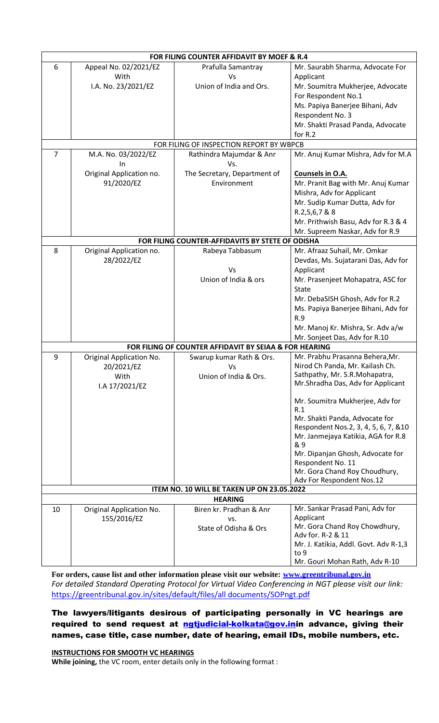|                | FOR FILING COUNTER AFFIDAVIT BY MOEF & R.4       |                                                        |                                                                 |  |  |
|----------------|--------------------------------------------------|--------------------------------------------------------|-----------------------------------------------------------------|--|--|
| 6              | Appeal No. 02/2021/EZ                            | Prafulla Samantray                                     | Mr. Saurabh Sharma, Advocate For                                |  |  |
|                | With                                             | Vs                                                     | Applicant                                                       |  |  |
|                | I.A. No. 23/2021/EZ                              | Union of India and Ors.                                | Mr. Soumitra Mukherjee, Advocate                                |  |  |
|                |                                                  |                                                        | For Respondent No.1                                             |  |  |
|                |                                                  |                                                        | Ms. Papiya Banerjee Bihani, Adv                                 |  |  |
|                |                                                  |                                                        | Respondent No. 3                                                |  |  |
|                |                                                  |                                                        | Mr. Shakti Prasad Panda, Advocate                               |  |  |
|                |                                                  |                                                        | for R.2                                                         |  |  |
|                |                                                  | FOR FILING OF INSPECTION REPORT BY WBPCB               |                                                                 |  |  |
| $\overline{7}$ | M.A. No. 03/2022/EZ                              | Rathindra Majumdar & Anr                               | Mr. Anuj Kumar Mishra, Adv for M.A                              |  |  |
|                | In<br>Original Application no.                   | Vs.<br>The Secretary, Department of                    |                                                                 |  |  |
|                |                                                  | Environment                                            | Counsels in O.A.                                                |  |  |
|                | 91/2020/EZ                                       |                                                        | Mr. Pranit Bag with Mr. Anuj Kumar<br>Mishra, Adv for Applicant |  |  |
|                |                                                  |                                                        | Mr. Sudip Kumar Dutta, Adv for                                  |  |  |
|                |                                                  |                                                        | R.2,5,6,7 & 8                                                   |  |  |
|                |                                                  |                                                        | Mr. Prithwish Basu, Adv for R.3 & 4                             |  |  |
|                |                                                  |                                                        | Mr. Supreem Naskar, Adv for R.9                                 |  |  |
|                | FOR FILING COUNTER-AFFIDAVITS BY STETE OF ODISHA |                                                        |                                                                 |  |  |
| 8              | Original Application no.                         | Rabeya Tabbasum                                        | Mr. Afraaz Suhail, Mr. Omkar                                    |  |  |
|                | 28/2022/EZ                                       |                                                        | Devdas, Ms. Sujatarani Das, Adv for                             |  |  |
|                |                                                  | Vs                                                     | Applicant                                                       |  |  |
|                |                                                  | Union of India & ors                                   | Mr. Prasenjeet Mohapatra, ASC for                               |  |  |
|                |                                                  |                                                        | <b>State</b>                                                    |  |  |
|                |                                                  |                                                        | Mr. DebaSISH Ghosh, Adv for R.2                                 |  |  |
|                |                                                  |                                                        | Ms. Papiya Banerjee Bihani, Adv for                             |  |  |
|                |                                                  |                                                        | R.9                                                             |  |  |
|                |                                                  |                                                        | Mr. Manoj Kr. Mishra, Sr. Adv a/w                               |  |  |
|                |                                                  |                                                        | Mr. Sonjeet Das, Adv for R.10                                   |  |  |
|                |                                                  | FOR FILING OF COUNTER AFFIDAVIT BY SEIAA & FOR HEARING |                                                                 |  |  |
| 9              | Original Application No.                         | Swarup kumar Rath & Ors.                               | Mr. Prabhu Prasanna Behera, Mr.                                 |  |  |
|                | 20/2021/EZ                                       | Vs                                                     | Nirod Ch Panda, Mr. Kailash Ch.                                 |  |  |
|                | With                                             | Union of India & Ors.                                  | Sathpathy, Mr. S.R. Mohapatra,                                  |  |  |
|                | I.A 17/2021/EZ                                   |                                                        | Mr.Shradha Das, Adv for Applicant                               |  |  |
|                |                                                  |                                                        | Mr. Soumitra Mukherjee, Adv for                                 |  |  |
|                |                                                  |                                                        | R.1                                                             |  |  |
|                |                                                  |                                                        | Mr. Shakti Panda, Advocate for                                  |  |  |
|                |                                                  |                                                        | Respondent Nos.2, 3, 4, 5, 6, 7, &10                            |  |  |
|                |                                                  |                                                        | Mr. Janmejaya Katikia, AGA for R.8                              |  |  |
|                |                                                  |                                                        | & 9                                                             |  |  |
|                |                                                  |                                                        | Mr. Dipanjan Ghosh, Advocate for<br>Respondent No. 11           |  |  |
|                |                                                  |                                                        | Mr. Gora Chand Roy Choudhury,                                   |  |  |
|                |                                                  |                                                        | Adv For Respondent Nos.12                                       |  |  |
|                |                                                  | ITEM NO. 10 WILL BE TAKEN UP ON 23.05.2022             |                                                                 |  |  |
| <b>HEARING</b> |                                                  |                                                        |                                                                 |  |  |
| 10             | Original Application No.                         | Biren kr. Pradhan & Anr                                | Mr. Sankar Prasad Pani, Adv for                                 |  |  |
|                | 155/2016/EZ                                      | VS.                                                    | Applicant                                                       |  |  |
|                |                                                  | State of Odisha & Ors                                  | Mr. Gora Chand Roy Chowdhury,                                   |  |  |
|                |                                                  |                                                        | Adv for. R-2 & 11<br>Mr. J. Katikia, Addl. Govt. Adv R-1,3      |  |  |
|                |                                                  |                                                        | to 9                                                            |  |  |
|                |                                                  |                                                        | Mr. Gouri Mohan Rath, Adv R-10                                  |  |  |

**For orders, cause list and other information please visit our website: [www.greentribunal.gov.in](http://www.greentribunal.gov.in/)** *For detailed Standard Operating Protocol for Virtual Video Conferencing in NGT please visit our link:*  [https://greentribunal.gov.in/sites/default/files/all documents/SOPngt.pdf](https://greentribunal.gov.in/sites/default/files/all%20documents/SOPngt.pdf)

The lawyers/litigants desirous of participating personally in VC hearings are required to send request at [ngtjudicial-kolkata@gov.ini](mailto:ngtjudicial-kolkata@gov.in)n advance, giving their names, case title, case number, date of hearing, email IDs, mobile numbers, etc.

**INSTRUCTIONS FOR SMOOTH VC HEARINGS While joining,** the VC room, enter details only in the following format :